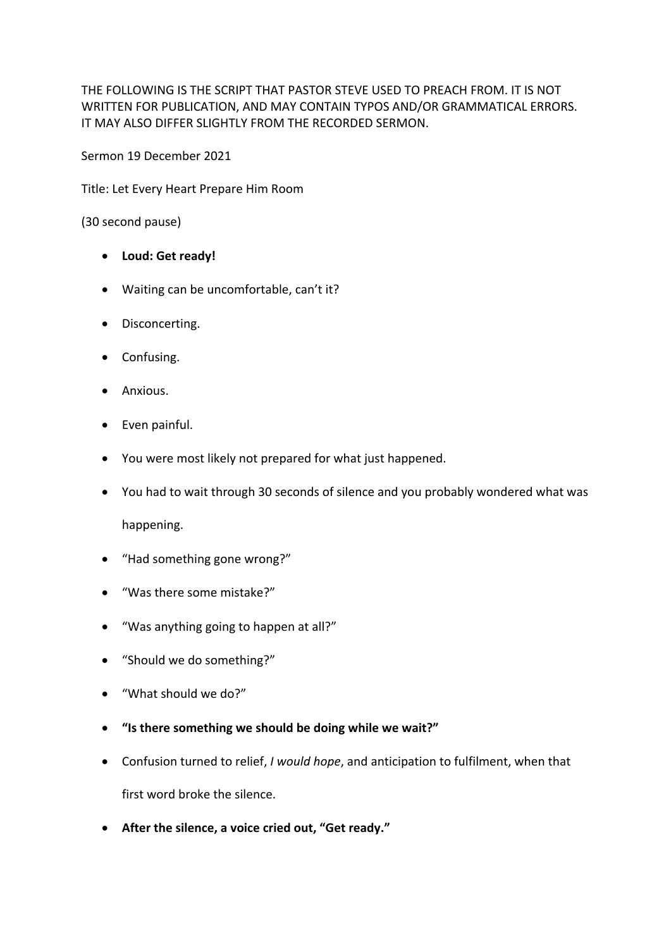THE FOLLOWING IS THE SCRIPT THAT PASTOR STEVE USED TO PREACH FROM. IT IS NOT WRITTEN FOR PUBLICATION, AND MAY CONTAIN TYPOS AND/OR GRAMMATICAL ERRORS. IT MAY ALSO DIFFER SLIGHTLY FROM THE RECORDED SERMON.

Sermon 19 December 2021

Title: Let Every Heart Prepare Him Room

(30 second pause)

- **Loud: Get ready!**
- Waiting can be uncomfortable, can't it?
- Disconcerting.
- Confusing.
- Anxious.
- Even painful.
- You were most likely not prepared for what just happened.
- You had to wait through 30 seconds of silence and you probably wondered what was

happening.

- "Had something gone wrong?"
- "Was there some mistake?"
- "Was anything going to happen at all?"
- "Should we do something?"
- "What should we do?"
- **"Is there something we should be doing while we wait?"**
- Confusion turned to relief, *I would hope*, and anticipation to fulfilment, when that first word broke the silence.
- **After the silence, a voice cried out, "Get ready."**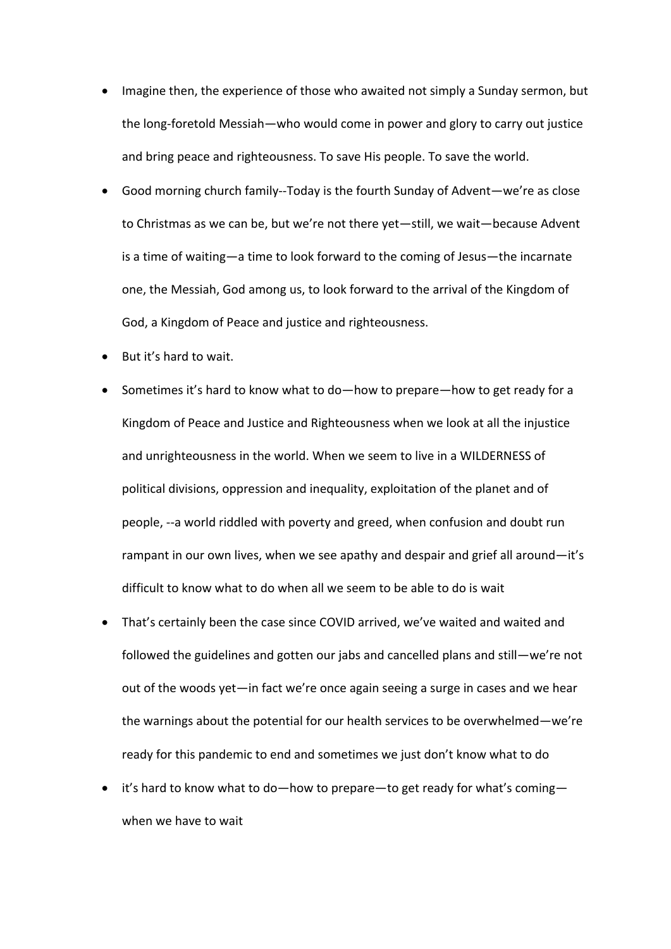- Imagine then, the experience of those who awaited not simply a Sunday sermon, but the long-foretold Messiah—who would come in power and glory to carry out justice and bring peace and righteousness. To save His people. To save the world.
- Good morning church family--Today is the fourth Sunday of Advent—we're as close to Christmas as we can be, but we're not there yet—still, we wait—because Advent is a time of waiting—a time to look forward to the coming of Jesus—the incarnate one, the Messiah, God among us, to look forward to the arrival of the Kingdom of God, a Kingdom of Peace and justice and righteousness.
- But it's hard to wait.
- Sometimes it's hard to know what to do—how to prepare—how to get ready for a Kingdom of Peace and Justice and Righteousness when we look at all the injustice and unrighteousness in the world. When we seem to live in a WILDERNESS of political divisions, oppression and inequality, exploitation of the planet and of people, --a world riddled with poverty and greed, when confusion and doubt run rampant in our own lives, when we see apathy and despair and grief all around—it's difficult to know what to do when all we seem to be able to do is wait
- That's certainly been the case since COVID arrived, we've waited and waited and followed the guidelines and gotten our jabs and cancelled plans and still—we're not out of the woods yet—in fact we're once again seeing a surge in cases and we hear the warnings about the potential for our health services to be overwhelmed—we're ready for this pandemic to end and sometimes we just don't know what to do
- it's hard to know what to do—how to prepare—to get ready for what's coming when we have to wait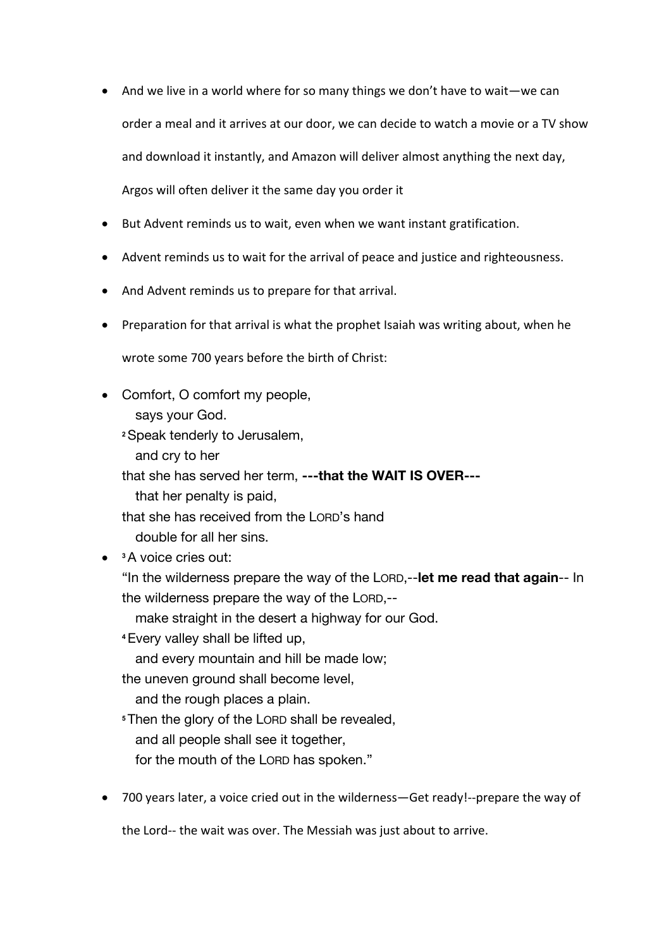- And we live in a world where for so many things we don't have to wait—we can order a meal and it arrives at our door, we can decide to watch a movie or a TV show and download it instantly, and Amazon will deliver almost anything the next day, Argos will often deliver it the same day you order it
- But Advent reminds us to wait, even when we want instant gratification.
- Advent reminds us to wait for the arrival of peace and justice and righteousness.
- And Advent reminds us to prepare for that arrival.
- Preparation for that arrival is what the prophet Isaiah was writing about, when he

wrote some 700 years before the birth of Christ:

• Comfort, O comfort my people,

says your God.

**<sup>2</sup>**Speak tenderly to Jerusalem,

and cry to her

that she has served her term, **---that the WAIT IS OVER---**

that her penalty is paid,

that she has received from the LORD's hand

double for all her sins.

• **<sup>3</sup>**A voice cries out:

"In the wilderness prepare the way of the LORD,--**let me read that again**-- In the wilderness prepare the way of the LORD,--

make straight in the desert a highway for our God.

**<sup>4</sup>**Every valley shall be lifted up,

and every mountain and hill be made low;

the uneven ground shall become level,

and the rough places a plain.

**<sup>5</sup>**Then the glory of the LORD shall be revealed,

and all people shall see it together,

for the mouth of the LORD has spoken."

• 700 years later, a voice cried out in the wilderness—Get ready!--prepare the way of

the Lord-- the wait was over. The Messiah was just about to arrive.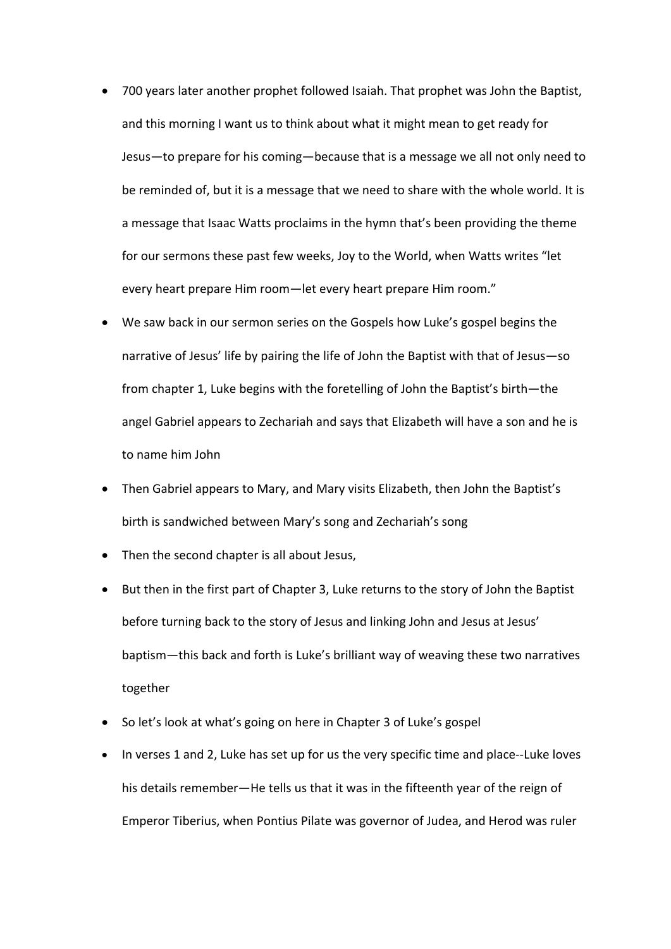- 700 years later another prophet followed Isaiah. That prophet was John the Baptist, and this morning I want us to think about what it might mean to get ready for Jesus—to prepare for his coming—because that is a message we all not only need to be reminded of, but it is a message that we need to share with the whole world. It is a message that Isaac Watts proclaims in the hymn that's been providing the theme for our sermons these past few weeks, Joy to the World, when Watts writes "let every heart prepare Him room—let every heart prepare Him room."
- We saw back in our sermon series on the Gospels how Luke's gospel begins the narrative of Jesus' life by pairing the life of John the Baptist with that of Jesus—so from chapter 1, Luke begins with the foretelling of John the Baptist's birth—the angel Gabriel appears to Zechariah and says that Elizabeth will have a son and he is to name him John
- Then Gabriel appears to Mary, and Mary visits Elizabeth, then John the Baptist's birth is sandwiched between Mary's song and Zechariah's song
- Then the second chapter is all about Jesus,
- But then in the first part of Chapter 3, Luke returns to the story of John the Baptist before turning back to the story of Jesus and linking John and Jesus at Jesus' baptism—this back and forth is Luke's brilliant way of weaving these two narratives together
- So let's look at what's going on here in Chapter 3 of Luke's gospel
- In verses 1 and 2, Luke has set up for us the very specific time and place--Luke loves his details remember—He tells us that it was in the fifteenth year of the reign of Emperor Tiberius, when Pontius Pilate was governor of Judea, and Herod was ruler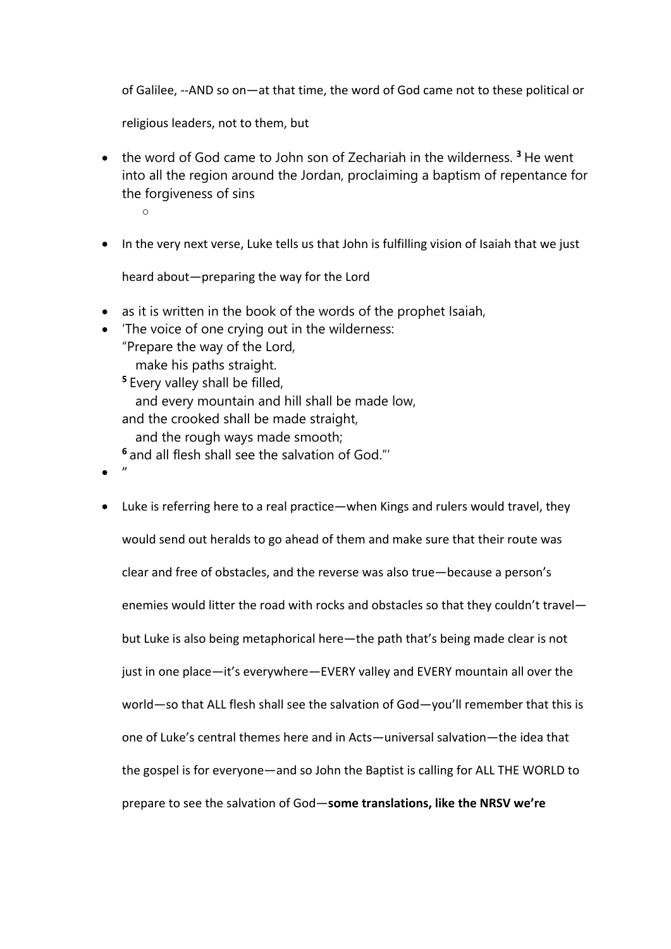of Galilee, --AND so on—at that time, the word of God came not to these political or

religious leaders, not to them, but

• the word of God came to John son of Zechariah in the wilderness. **<sup>3</sup>** He went into all the region around the Jordan, proclaiming a baptism of repentance for the forgiveness of sins

o

• In the very next verse, Luke tells us that John is fulfilling vision of Isaiah that we just

heard about—preparing the way for the Lord

- as it is written in the book of the words of the prophet Isaiah,
- 'The voice of one crying out in the wilderness: "Prepare the way of the Lord, make his paths straight. **<sup>5</sup>** Every valley shall be filled, and every mountain and hill shall be made low, and the crooked shall be made straight, and the rough ways made smooth; **<sup>6</sup>** and all flesh shall see the salvation of God."'
- "
- Luke is referring here to a real practice—when Kings and rulers would travel, they would send out heralds to go ahead of them and make sure that their route was clear and free of obstacles, and the reverse was also true—because a person's enemies would litter the road with rocks and obstacles so that they couldn't travel but Luke is also being metaphorical here—the path that's being made clear is not just in one place—it's everywhere—EVERY valley and EVERY mountain all over the world—so that ALL flesh shall see the salvation of God—you'll remember that this is one of Luke's central themes here and in Acts—universal salvation—the idea that the gospel is for everyone—and so John the Baptist is calling for ALL THE WORLD to prepare to see the salvation of God—**some translations, like the NRSV we're**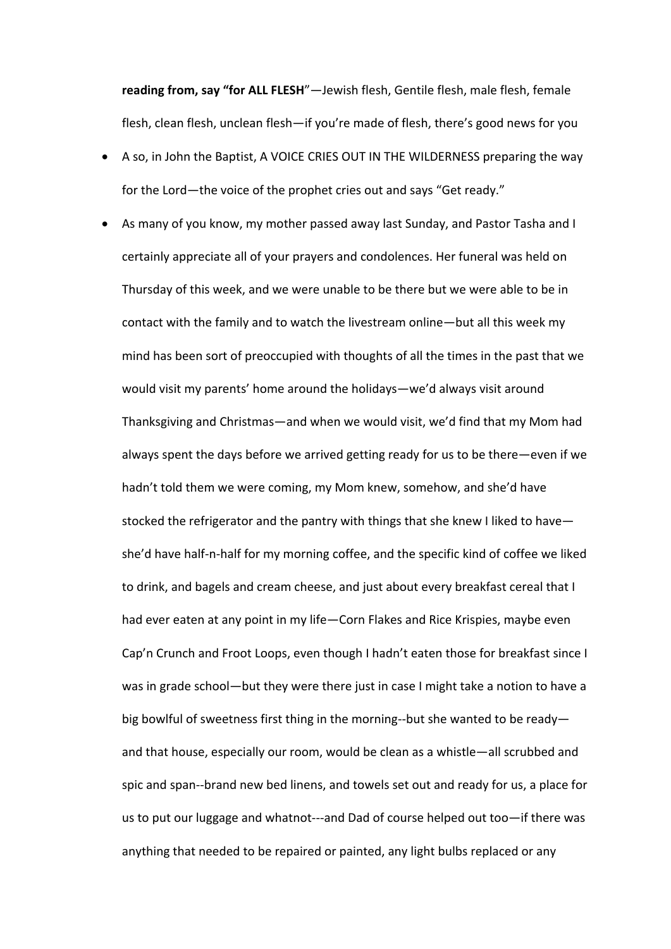**reading from, say "for ALL FLESH**"—Jewish flesh, Gentile flesh, male flesh, female flesh, clean flesh, unclean flesh—if you're made of flesh, there's good news for you

- A so, in John the Baptist, A VOICE CRIES OUT IN THE WILDERNESS preparing the way for the Lord—the voice of the prophet cries out and says "Get ready."
- As many of you know, my mother passed away last Sunday, and Pastor Tasha and I certainly appreciate all of your prayers and condolences. Her funeral was held on Thursday of this week, and we were unable to be there but we were able to be in contact with the family and to watch the livestream online—but all this week my mind has been sort of preoccupied with thoughts of all the times in the past that we would visit my parents' home around the holidays—we'd always visit around Thanksgiving and Christmas—and when we would visit, we'd find that my Mom had always spent the days before we arrived getting ready for us to be there—even if we hadn't told them we were coming, my Mom knew, somehow, and she'd have stocked the refrigerator and the pantry with things that she knew I liked to have she'd have half-n-half for my morning coffee, and the specific kind of coffee we liked to drink, and bagels and cream cheese, and just about every breakfast cereal that I had ever eaten at any point in my life—Corn Flakes and Rice Krispies, maybe even Cap'n Crunch and Froot Loops, even though I hadn't eaten those for breakfast since I was in grade school—but they were there just in case I might take a notion to have a big bowlful of sweetness first thing in the morning--but she wanted to be ready and that house, especially our room, would be clean as a whistle—all scrubbed and spic and span--brand new bed linens, and towels set out and ready for us, a place for us to put our luggage and whatnot---and Dad of course helped out too—if there was anything that needed to be repaired or painted, any light bulbs replaced or any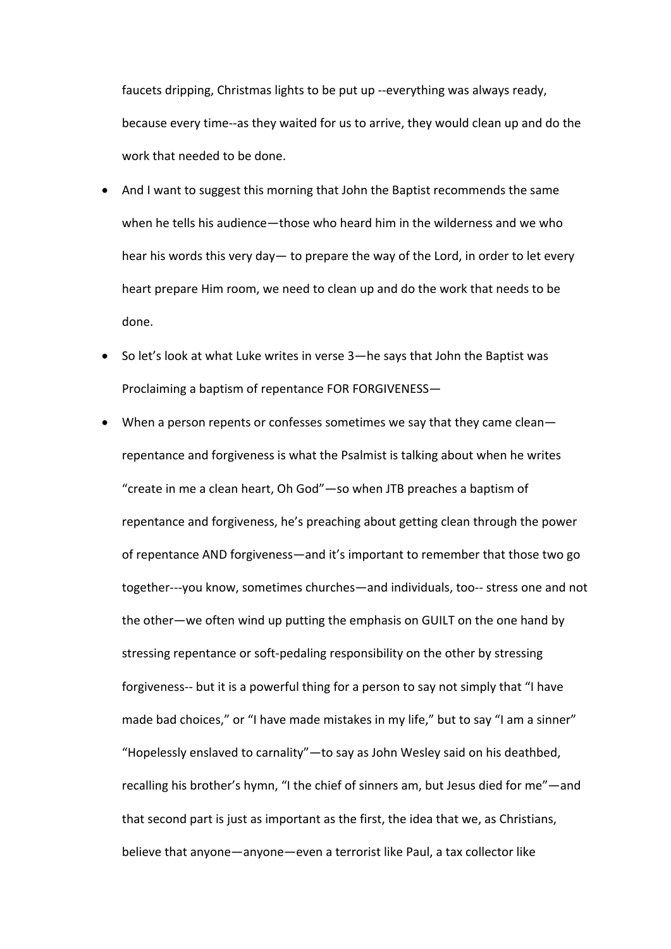faucets dripping, Christmas lights to be put up --everything was always ready, because every time--as they waited for us to arrive, they would clean up and do the work that needed to be done.

- And I want to suggest this morning that John the Baptist recommends the same when he tells his audience—those who heard him in the wilderness and we who hear his words this very day— to prepare the way of the Lord, in order to let every heart prepare Him room, we need to clean up and do the work that needs to be done.
- So let's look at what Luke writes in verse 3—he says that John the Baptist was Proclaiming a baptism of repentance FOR FORGIVENESS—
- When a person repents or confesses sometimes we say that they came clean repentance and forgiveness is what the Psalmist is talking about when he writes "create in me a clean heart, Oh God"—so when JTB preaches a baptism of repentance and forgiveness, he's preaching about getting clean through the power of repentance AND forgiveness—and it's important to remember that those two go together---you know, sometimes churches—and individuals, too-- stress one and not the other—we often wind up putting the emphasis on GUILT on the one hand by stressing repentance or soft-pedaling responsibility on the other by stressing forgiveness-- but it is a powerful thing for a person to say not simply that "I have made bad choices," or "I have made mistakes in my life," but to say "I am a sinner" "Hopelessly enslaved to carnality"—to say as John Wesley said on his deathbed, recalling his brother's hymn, "I the chief of sinners am, but Jesus died for me"—and that second part is just as important as the first, the idea that we, as Christians, believe that anyone—anyone—even a terrorist like Paul, a tax collector like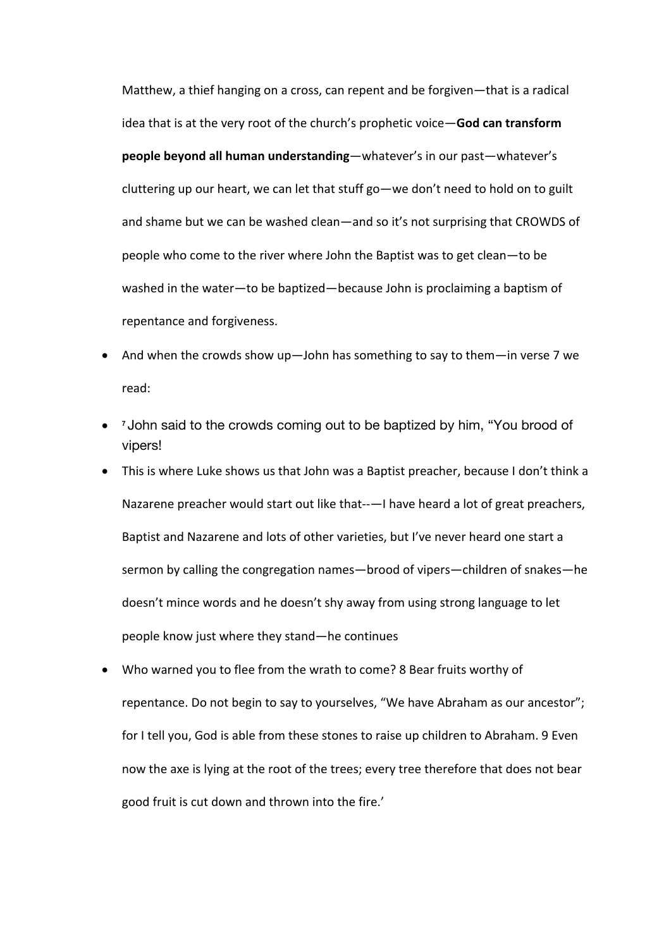Matthew, a thief hanging on a cross, can repent and be forgiven—that is a radical idea that is at the very root of the church's prophetic voice—**God can transform people beyond all human understanding**—whatever's in our past—whatever's cluttering up our heart, we can let that stuff go—we don't need to hold on to guilt and shame but we can be washed clean—and so it's not surprising that CROWDS of people who come to the river where John the Baptist was to get clean—to be washed in the water—to be baptized—because John is proclaiming a baptism of repentance and forgiveness.

- And when the crowds show up—John has something to say to them—in verse 7 we read:
- **<sup>7</sup>** John said to the crowds coming out to be baptized by him, "You brood of vipers!
- This is where Luke shows us that John was a Baptist preacher, because I don't think a Nazarene preacher would start out like that--—I have heard a lot of great preachers, Baptist and Nazarene and lots of other varieties, but I've never heard one start a sermon by calling the congregation names—brood of vipers—children of snakes—he doesn't mince words and he doesn't shy away from using strong language to let people know just where they stand—he continues
- Who warned you to flee from the wrath to come? 8 Bear fruits worthy of repentance. Do not begin to say to yourselves, "We have Abraham as our ancestor"; for I tell you, God is able from these stones to raise up children to Abraham. 9 Even now the axe is lying at the root of the trees; every tree therefore that does not bear good fruit is cut down and thrown into the fire.'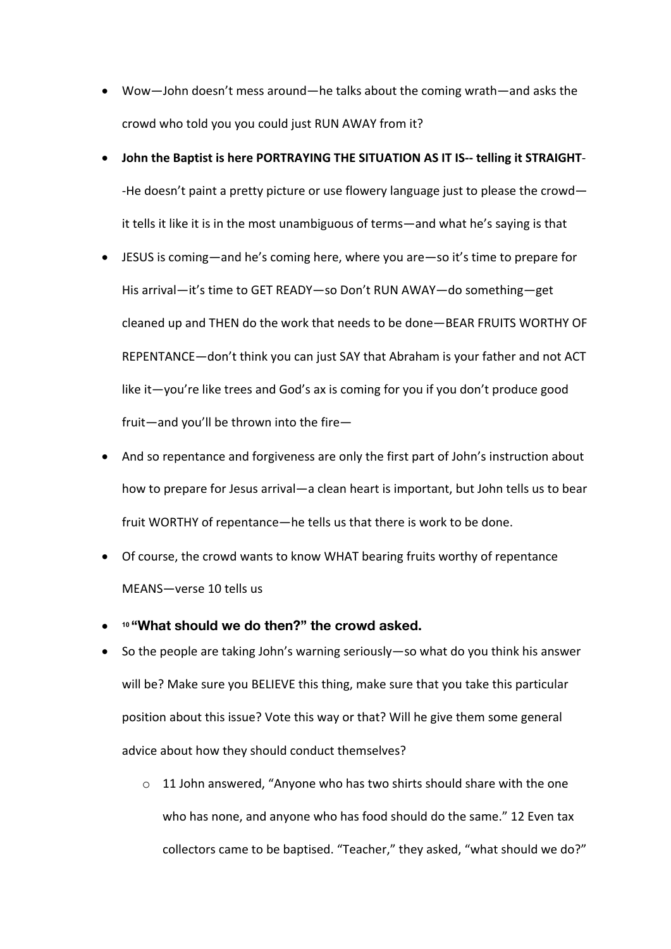- Wow—John doesn't mess around—he talks about the coming wrath—and asks the crowd who told you you could just RUN AWAY from it?
- **John the Baptist is here PORTRAYING THE SITUATION AS IT IS-- telling it STRAIGHT** -He doesn't paint a pretty picture or use flowery language just to please the crowd it tells it like it is in the most unambiguous of terms—and what he's saying is that
- JESUS is coming—and he's coming here, where you are—so it's time to prepare for His arrival—it's time to GET READY—so Don't RUN AWAY—do something—get cleaned up and THEN do the work that needs to be done—BEAR FRUITS WORTHY OF REPENTANCE—don't think you can just SAY that Abraham is your father and not ACT like it—you're like trees and God's ax is coming for you if you don't produce good fruit—and you'll be thrown into the fire—
- And so repentance and forgiveness are only the first part of John's instruction about how to prepare for Jesus arrival—a clean heart is important, but John tells us to bear fruit WORTHY of repentance—he tells us that there is work to be done.
- Of course, the crowd wants to know WHAT bearing fruits worthy of repentance MEANS—verse 10 tells us
- **<sup>10</sup> "What should we do then?" the crowd asked.**
- So the people are taking John's warning seriously—so what do you think his answer will be? Make sure you BELIEVE this thing, make sure that you take this particular position about this issue? Vote this way or that? Will he give them some general advice about how they should conduct themselves?
	- $\circ$  11 John answered, "Anyone who has two shirts should share with the one who has none, and anyone who has food should do the same." 12 Even tax collectors came to be baptised. "Teacher," they asked, "what should we do?"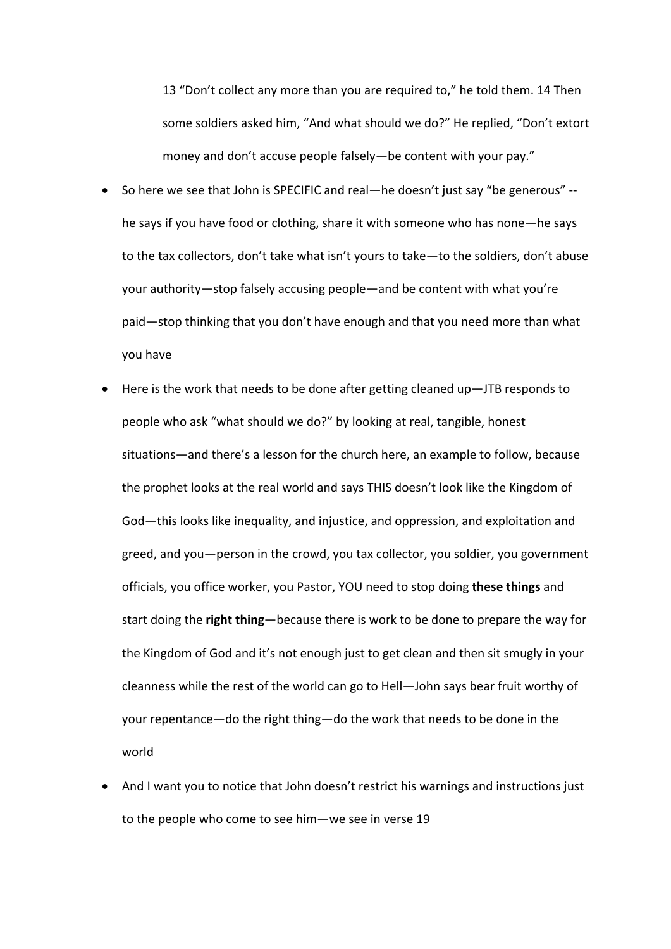13 "Don't collect any more than you are required to," he told them. 14 Then some soldiers asked him, "And what should we do?" He replied, "Don't extort money and don't accuse people falsely—be content with your pay."

- So here we see that John is SPECIFIC and real—he doesn't just say "be generous" he says if you have food or clothing, share it with someone who has none—he says to the tax collectors, don't take what isn't yours to take—to the soldiers, don't abuse your authority—stop falsely accusing people—and be content with what you're paid—stop thinking that you don't have enough and that you need more than what you have
- Here is the work that needs to be done after getting cleaned up—JTB responds to people who ask "what should we do?" by looking at real, tangible, honest situations—and there's a lesson for the church here, an example to follow, because the prophet looks at the real world and says THIS doesn't look like the Kingdom of God—this looks like inequality, and injustice, and oppression, and exploitation and greed, and you—person in the crowd, you tax collector, you soldier, you government officials, you office worker, you Pastor, YOU need to stop doing **these things** and start doing the **right thing**—because there is work to be done to prepare the way for the Kingdom of God and it's not enough just to get clean and then sit smugly in your cleanness while the rest of the world can go to Hell—John says bear fruit worthy of your repentance—do the right thing—do the work that needs to be done in the world
- And I want you to notice that John doesn't restrict his warnings and instructions just to the people who come to see him—we see in verse 19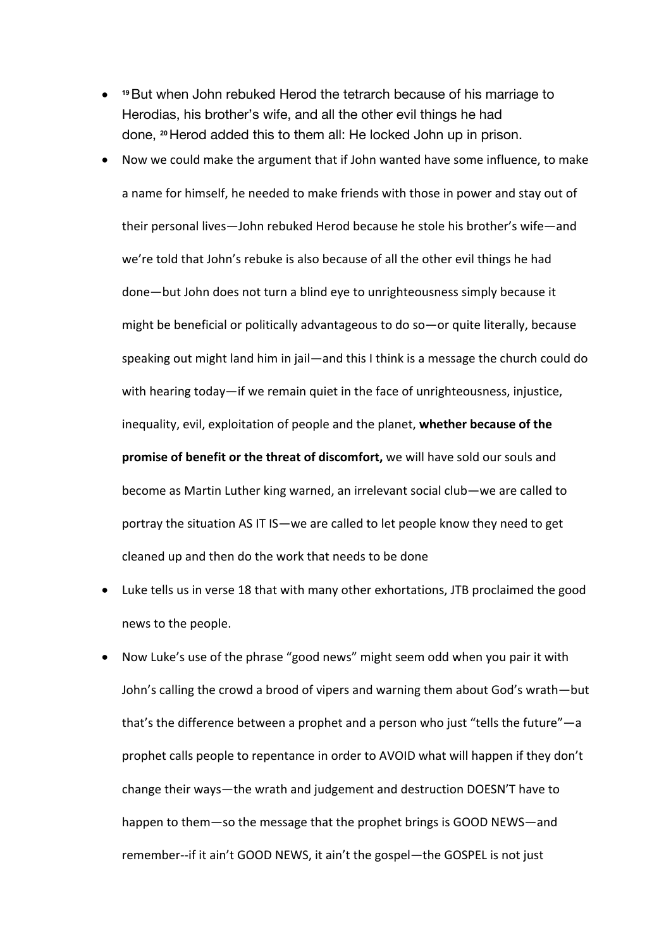- **<sup>19</sup>**But when John rebuked Herod the tetrarch because of his marriage to Herodias, his brother's wife, and all the other evil things he had done, **<sup>20</sup>**Herod added this to them all: He locked John up in prison.
- Now we could make the argument that if John wanted have some influence, to make a name for himself, he needed to make friends with those in power and stay out of their personal lives—John rebuked Herod because he stole his brother's wife—and we're told that John's rebuke is also because of all the other evil things he had done—but John does not turn a blind eye to unrighteousness simply because it might be beneficial or politically advantageous to do so—or quite literally, because speaking out might land him in jail—and this I think is a message the church could do with hearing today—if we remain quiet in the face of unrighteousness, injustice, inequality, evil, exploitation of people and the planet, **whether because of the promise of benefit or the threat of discomfort,** we will have sold our souls and become as Martin Luther king warned, an irrelevant social club—we are called to portray the situation AS IT IS—we are called to let people know they need to get cleaned up and then do the work that needs to be done
- Luke tells us in verse 18 that with many other exhortations, JTB proclaimed the good news to the people.
- Now Luke's use of the phrase "good news" might seem odd when you pair it with John's calling the crowd a brood of vipers and warning them about God's wrath—but that's the difference between a prophet and a person who just "tells the future"—a prophet calls people to repentance in order to AVOID what will happen if they don't change their ways—the wrath and judgement and destruction DOESN'T have to happen to them—so the message that the prophet brings is GOOD NEWS—and remember--if it ain't GOOD NEWS, it ain't the gospel—the GOSPEL is not just